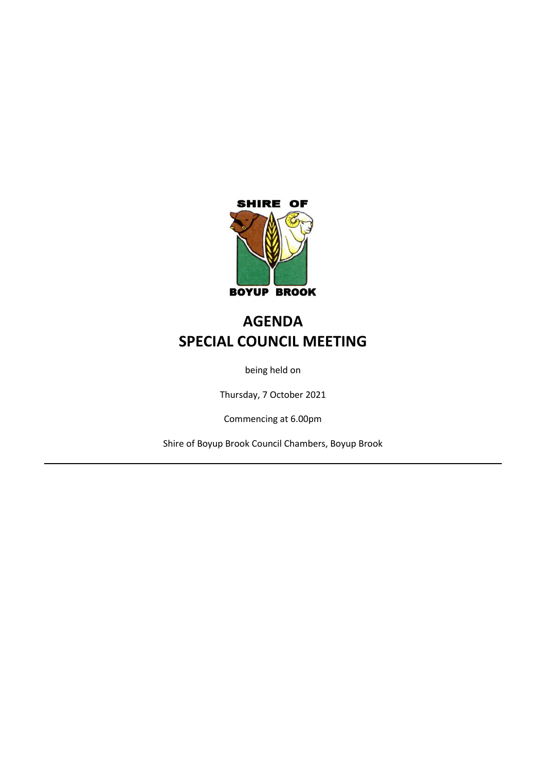

## **AGENDA SPECIAL COUNCIL MEETING**

being held on

Thursday, 7 October 2021

Commencing at 6.00pm

Shire of Boyup Brook Council Chambers, Boyup Brook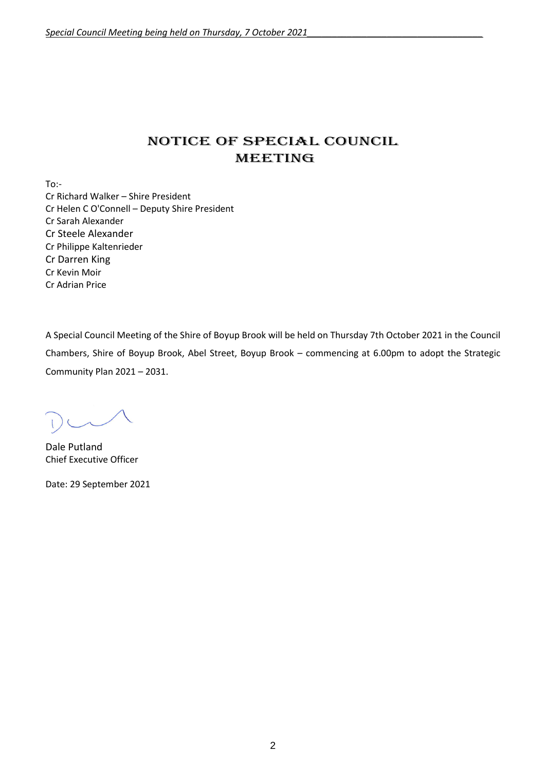### NOTICE OF Special COUNCIL MEETING

To:-

Cr Richard Walker – Shire President Cr Helen C O'Connell – Deputy Shire President Cr Sarah Alexander Cr Steele Alexander Cr Philippe Kaltenrieder Cr Darren King Cr Kevin Moir Cr Adrian Price

A Special Council Meeting of the Shire of Boyup Brook will be held on Thursday 7th October 2021 in the Council Chambers, Shire of Boyup Brook, Abel Street, Boyup Brook – commencing at 6.00pm to adopt the Strategic Community Plan 2021 – 2031.

Dale Putland Chief Executive Officer

Date: 29 September 2021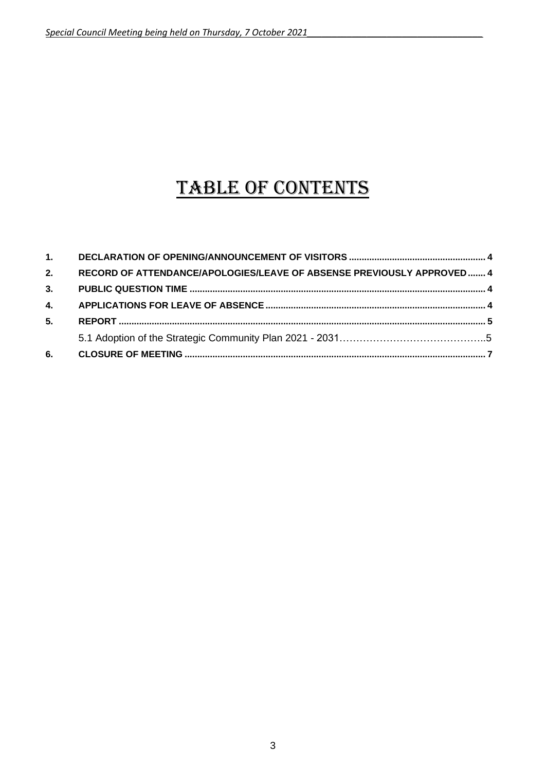# TABLE OF CONTENTS

| 6. |                                                                       |  |
|----|-----------------------------------------------------------------------|--|
|    |                                                                       |  |
| 5. |                                                                       |  |
| 4. |                                                                       |  |
| 3. |                                                                       |  |
| 2. | RECORD OF ATTENDANCE/APOLOGIES/LEAVE OF ABSENSE PREVIOUSLY APPROVED 4 |  |
| 1. |                                                                       |  |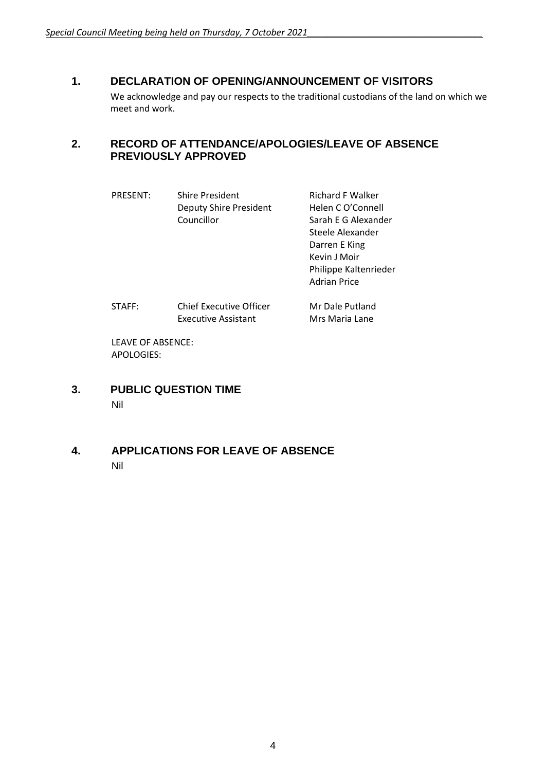#### <span id="page-3-0"></span>**1. DECLARATION OF OPENING/ANNOUNCEMENT OF VISITORS**

We acknowledge and pay our respects to the traditional custodians of the land on which we meet and work.

#### <span id="page-3-1"></span>**2. RECORD OF ATTENDANCE/APOLOGIES/LEAVE OF ABSENCE PREVIOUSLY APPROVED**

- PRESENT: Shire President Richard F Walker Deputy Shire President Helen C O'Connell Councillor Sarah E G Alexander Steele Alexander Darren E King Kevin J Moir Philippe Kaltenrieder Adrian Price STAFF: Chief Executive Officer Mr Dale Putland
- Executive Assistant Mrs Maria Lane

LEAVE OF ABSENCE: APOLOGIES:

- <span id="page-3-2"></span>**3. PUBLIC QUESTION TIME** Nil
- <span id="page-3-3"></span>**4. APPLICATIONS FOR LEAVE OF ABSENCE** Nil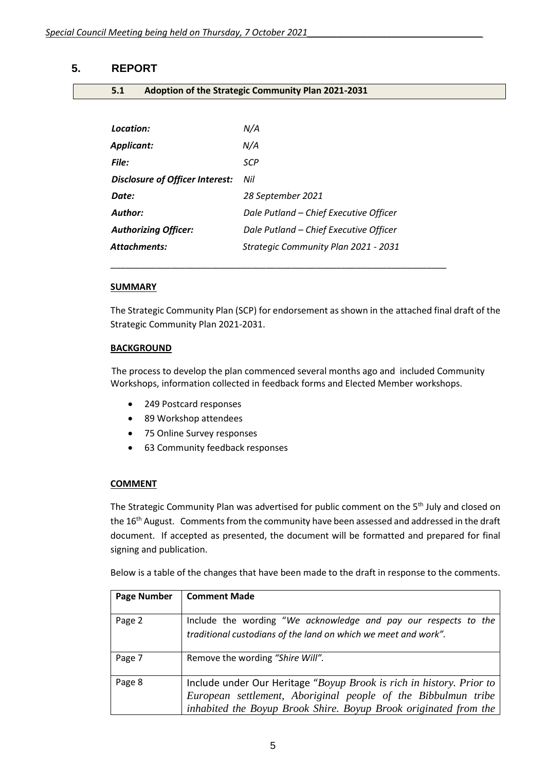#### <span id="page-4-0"></span>**5. REPORT**

**5.1 Adoption of the Strategic Community Plan 2021-2031**

| Location:                       | N/A                                    |
|---------------------------------|----------------------------------------|
| <b>Applicant:</b>               | N/A                                    |
| File:                           | SCP                                    |
| Disclosure of Officer Interest: | Nil                                    |
| Date:                           | 28 September 2021                      |
| Author:                         | Dale Putland - Chief Executive Officer |
| <b>Authorizing Officer:</b>     | Dale Putland - Chief Executive Officer |
| <b>Attachments:</b>             | Strategic Community Plan 2021 - 2031   |
|                                 |                                        |

\_\_\_\_\_\_\_\_\_\_\_\_\_\_\_\_\_\_\_\_\_\_\_\_\_\_\_\_\_\_\_\_\_\_\_\_\_\_\_\_\_\_\_\_\_\_\_\_\_\_\_\_\_\_\_\_\_\_\_\_\_\_\_\_\_\_\_

#### **SUMMARY**

The Strategic Community Plan (SCP) for endorsement as shown in the attached final draft of the Strategic Community Plan 2021-2031.

#### **BACKGROUND**

The process to develop the plan commenced several months ago and included Community Workshops, information collected in feedback forms and Elected Member workshops.

- 249 Postcard responses
- 89 Workshop attendees
- 75 Online Survey responses
- 63 Community feedback responses

#### **COMMENT**

The Strategic Community Plan was advertised for public comment on the 5<sup>th</sup> July and closed on the 16<sup>th</sup> August. Comments from the community have been assessed and addressed in the draft document. If accepted as presented, the document will be formatted and prepared for final signing and publication.

Below is a table of the changes that have been made to the draft in response to the comments.

| <b>Page Number</b> | <b>Comment Made</b>                                                                                                                                                                                       |
|--------------------|-----------------------------------------------------------------------------------------------------------------------------------------------------------------------------------------------------------|
| Page 2             | Include the wording "We acknowledge and pay our respects to the<br>traditional custodians of the land on which we meet and work".                                                                         |
| Page 7             | Remove the wording "Shire Will".                                                                                                                                                                          |
| Page 8             | Include under Our Heritage "Boyup Brook is rich in history. Prior to<br>European settlement, Aboriginal people of the Bibbulmun tribe<br>inhabited the Boyup Brook Shire. Boyup Brook originated from the |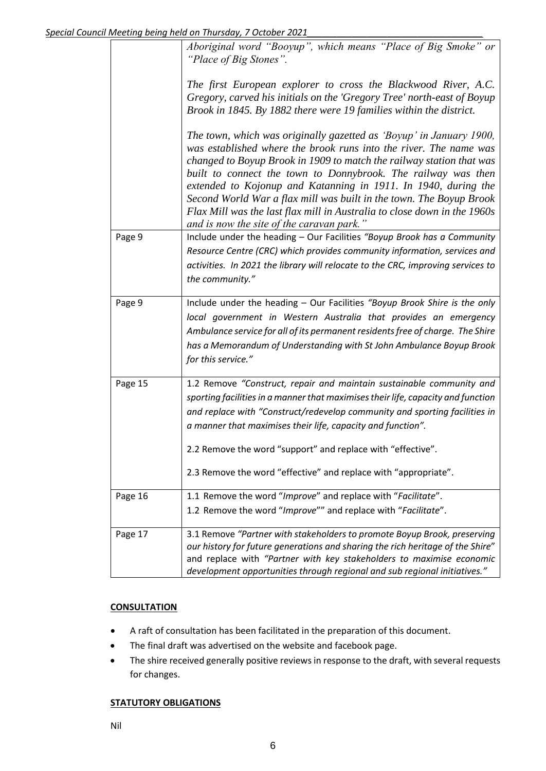| <b>OCLONCI</b> |                                                                                                                                                                                                                                                                                                                                                                                                                                                                                                                                                     |  |
|----------------|-----------------------------------------------------------------------------------------------------------------------------------------------------------------------------------------------------------------------------------------------------------------------------------------------------------------------------------------------------------------------------------------------------------------------------------------------------------------------------------------------------------------------------------------------------|--|
|                | Aboriginal word "Booyup", which means "Place of Big Smoke" or<br>"Place of Big Stones".                                                                                                                                                                                                                                                                                                                                                                                                                                                             |  |
|                | The first European explorer to cross the Blackwood River, A.C.<br>Gregory, carved his initials on the 'Gregory Tree' north-east of Boyup<br>Brook in 1845. By 1882 there were 19 families within the district.                                                                                                                                                                                                                                                                                                                                      |  |
|                | The town, which was originally gazetted as 'Boyup' in January 1900,<br>was established where the brook runs into the river. The name was<br>changed to Boyup Brook in 1909 to match the railway station that was<br>built to connect the town to Donnybrook. The railway was then<br>extended to Kojonup and Katanning in 1911. In 1940, during the<br>Second World War a flax mill was built in the town. The Boyup Brook<br>Flax Mill was the last flax mill in Australia to close down in the 1960s<br>and is now the site of the caravan park." |  |
| Page 9         | Include under the heading - Our Facilities "Boyup Brook has a Community<br>Resource Centre (CRC) which provides community information, services and<br>activities. In 2021 the library will relocate to the CRC, improving services to<br>the community."                                                                                                                                                                                                                                                                                           |  |
| Page 9         | Include under the heading - Our Facilities "Boyup Brook Shire is the only<br>local government in Western Australia that provides an emergency<br>Ambulance service for all of its permanent residents free of charge. The Shire<br>has a Memorandum of Understanding with St John Ambulance Boyup Brook<br>for this service."                                                                                                                                                                                                                       |  |
| Page 15        | 1.2 Remove "Construct, repair and maintain sustainable community and<br>sporting facilities in a manner that maximises their life, capacity and function<br>and replace with "Construct/redevelop community and sporting facilities in<br>a manner that maximises their life, capacity and function".<br>2.2 Remove the word "support" and replace with "effective".<br>2.3 Remove the word "effective" and replace with "appropriate".                                                                                                             |  |
| Page 16        | 1.1 Remove the word "Improve" and replace with "Facilitate".<br>1.2 Remove the word "Improve"" and replace with "Facilitate".                                                                                                                                                                                                                                                                                                                                                                                                                       |  |
| Page 17        | 3.1 Remove "Partner with stakeholders to promote Boyup Brook, preserving<br>our history for future generations and sharing the rich heritage of the Shire"<br>and replace with "Partner with key stakeholders to maximise economic<br>development opportunities through regional and sub regional initiatives."                                                                                                                                                                                                                                     |  |

#### **CONSULTATION**

- A raft of consultation has been facilitated in the preparation of this document.
- The final draft was advertised on the website and facebook page.
- The shire received generally positive reviews in response to the draft, with several requests for changes.

#### **STATUTORY OBLIGATIONS**

Nil